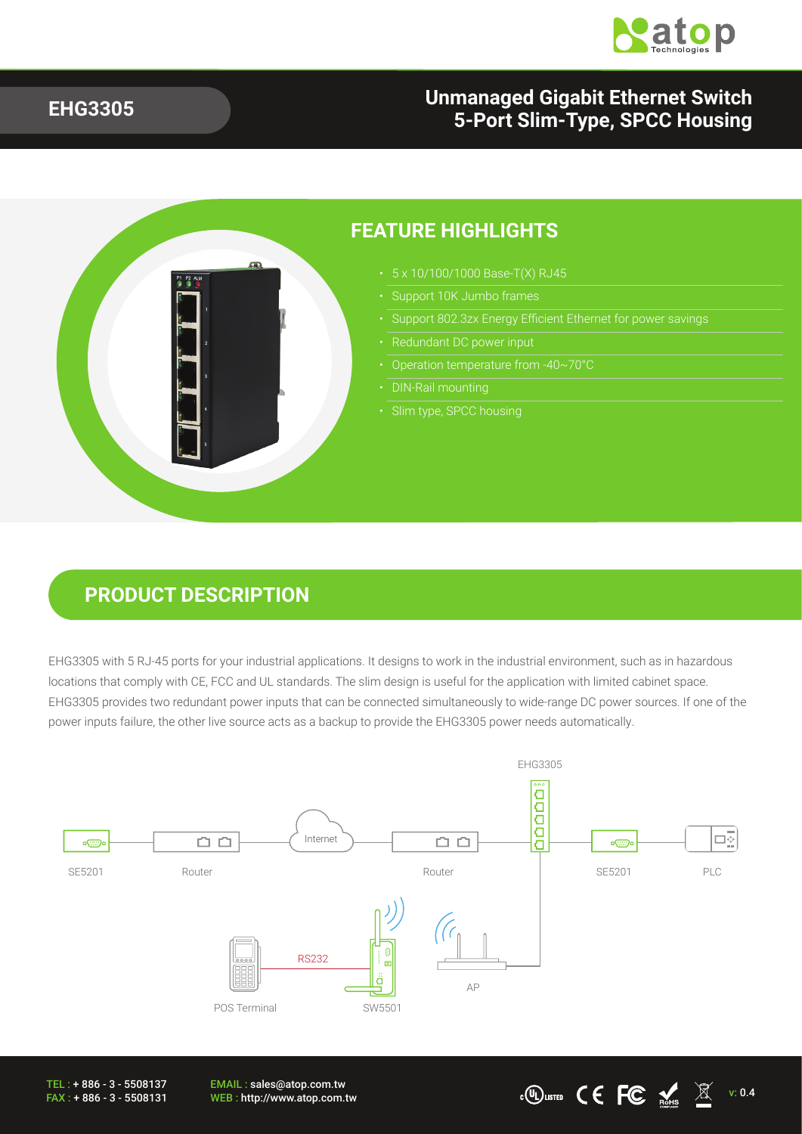

#### **EHG3305**

### **Unmanaged Gigabit Ethernet Switch 5-Port Slim-Type, SPCC Housing**

 $\cdot$  CO usited CE FC  $\frac{1}{N}$   $\frac{1}{N}$  v: 0.4



### **PRODUCT DESCRIPTION**

EHG3305 with 5 RJ-45 ports for your industrial applications. It designs to work in the industrial environment, such as in hazardous locations that comply with CE, FCC and UL standards. The slim design is useful for the application with limited cabinet space. EHG3305 provides two redundant power inputs that can be connected simultaneously to wide-range DC power sources. If one of the power inputs failure, the other live source acts as a backup to provide the EHG3305 power needs automatically.



TEL : + 886 - 3 - 5508137 FAX : + 886 - 3 - 5508131

EMAIL : sales@atop.com.tw<br>WEB : http://www.atop.com.tw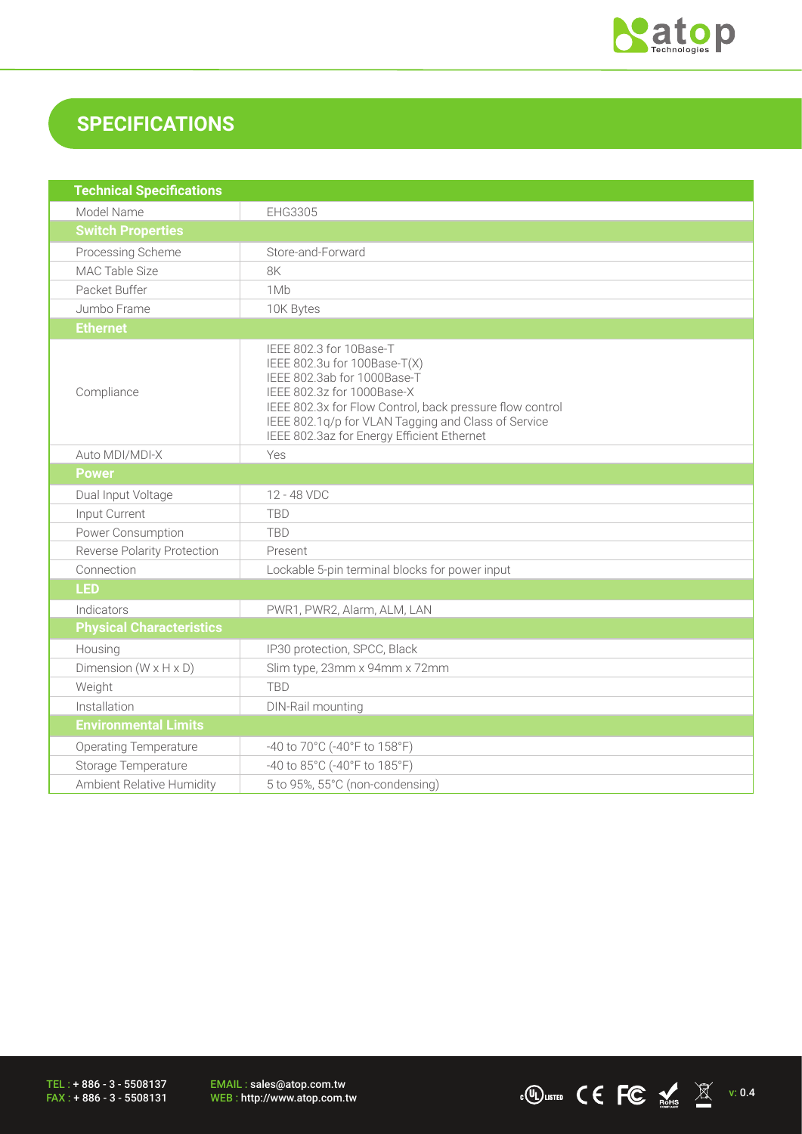

# **SPECIFICATIONS**

| <b>Technical Specifications</b>     |                                                                                                                                                                                                                                                                                       |
|-------------------------------------|---------------------------------------------------------------------------------------------------------------------------------------------------------------------------------------------------------------------------------------------------------------------------------------|
| Model Name                          | EHG3305                                                                                                                                                                                                                                                                               |
| <b>Switch Properties</b>            |                                                                                                                                                                                                                                                                                       |
| Processing Scheme                   | Store-and-Forward                                                                                                                                                                                                                                                                     |
| MAC Table Size                      | 8K                                                                                                                                                                                                                                                                                    |
| Packet Buffer                       | 1Mb                                                                                                                                                                                                                                                                                   |
| Jumbo Frame                         | 10K Bytes                                                                                                                                                                                                                                                                             |
| <b>Ethernet</b>                     |                                                                                                                                                                                                                                                                                       |
| Compliance                          | IEEE 802.3 for 10Base-T<br>IEEE 802.3u for 100Base-T(X)<br>IEEE 802.3ab for 1000Base-T<br>IEEE 802.3z for 1000Base-X<br>IEEE 802.3x for Flow Control, back pressure flow control<br>IEEE 802.1q/p for VLAN Tagging and Class of Service<br>IEEE 802.3az for Energy Efficient Ethernet |
| Auto MDI/MDI-X                      | Yes                                                                                                                                                                                                                                                                                   |
| <b>Power</b>                        |                                                                                                                                                                                                                                                                                       |
| Dual Input Voltage                  | 12 - 48 VDC                                                                                                                                                                                                                                                                           |
| Input Current                       | <b>TBD</b>                                                                                                                                                                                                                                                                            |
| Power Consumption                   | <b>TBD</b>                                                                                                                                                                                                                                                                            |
| Reverse Polarity Protection         | Present                                                                                                                                                                                                                                                                               |
| Connection                          | Lockable 5-pin terminal blocks for power input                                                                                                                                                                                                                                        |
| <b>LED</b>                          |                                                                                                                                                                                                                                                                                       |
| Indicators                          | PWR1, PWR2, Alarm, ALM, LAN                                                                                                                                                                                                                                                           |
| <b>Physical Characteristics</b>     |                                                                                                                                                                                                                                                                                       |
| Housing                             | IP30 protection, SPCC, Black                                                                                                                                                                                                                                                          |
| Dimension ( $W \times H \times D$ ) | Slim type, 23mm x 94mm x 72mm                                                                                                                                                                                                                                                         |
| Weight                              | <b>TBD</b>                                                                                                                                                                                                                                                                            |
| Installation                        | DIN-Rail mounting                                                                                                                                                                                                                                                                     |
| <b>Environmental Limits</b>         |                                                                                                                                                                                                                                                                                       |
| <b>Operating Temperature</b>        | -40 to 70°C (-40°F to 158°F)                                                                                                                                                                                                                                                          |
| Storage Temperature                 | -40 to 85°C (-40°F to 185°F)                                                                                                                                                                                                                                                          |
| Ambient Relative Humidity           | 5 to 95%, 55°C (non-condensing)                                                                                                                                                                                                                                                       |

TEL : + 886 - 3 - 5508137 FAX : + 886 - 3 - 5508131

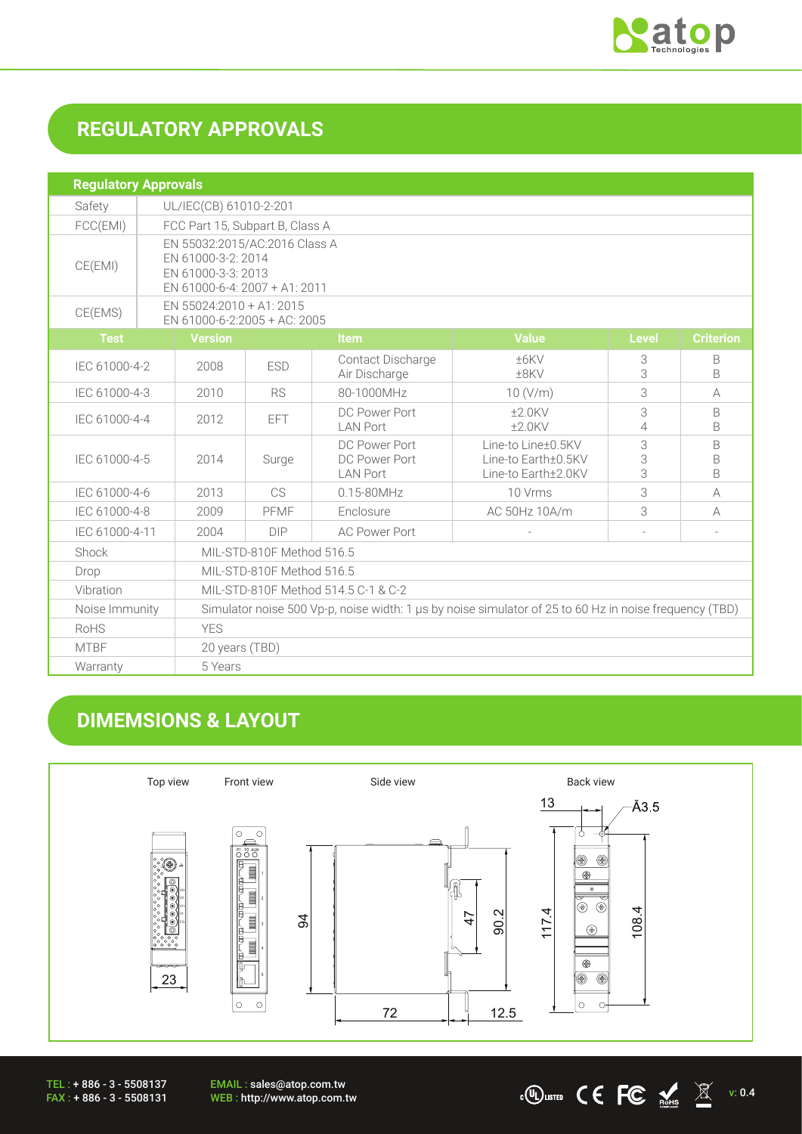

## **REGULATORY APPROVALS**

| <b>Regulatory Approvals</b> |  |                                                                                                            |            |                                                   |                                                                  |              |                        |
|-----------------------------|--|------------------------------------------------------------------------------------------------------------|------------|---------------------------------------------------|------------------------------------------------------------------|--------------|------------------------|
| Safety                      |  | UL/IEC(CB) 61010-2-201                                                                                     |            |                                                   |                                                                  |              |                        |
| FCC(EMI)                    |  | FCC Part 15, Subpart B, Class A                                                                            |            |                                                   |                                                                  |              |                        |
| CE(EMI)                     |  | EN 55032:2015/AC:2016 Class A<br>EN 61000-3-2: 2014<br>EN 61000-3-3: 2013<br>EN 61000-6-4: 2007 + A1: 2011 |            |                                                   |                                                                  |              |                        |
| CE(EMS)                     |  | EN 55024:2010 + A1: 2015<br>EN 61000-6-2:2005 + AC: 2005                                                   |            |                                                   |                                                                  |              |                        |
| <b>Test</b>                 |  | <b>Version</b>                                                                                             |            | <b>Item</b>                                       | <b>Value</b>                                                     | <b>Level</b> | <b>Criterion</b>       |
| IEC 61000-4-2               |  | 2008                                                                                                       | <b>ESD</b> | Contact Discharge<br>Air Discharge                | ±6KV<br>±8KV                                                     | 3<br>3       | B<br>B                 |
| IEC 61000-4-3               |  | 2010                                                                                                       | <b>RS</b>  | 80-1000MHz                                        | 10 (V/m)                                                         | 3            | $\forall$              |
| IEC 61000-4-4               |  | 2012                                                                                                       | EFT.       | DC Power Port<br><b>LAN Port</b>                  | $+2.0$ KV<br>$±2.0$ KV                                           | 3<br>4       | B<br>B                 |
| IEC 61000-4-5               |  | 2014                                                                                                       | Surge      | DC Power Port<br>DC Power Port<br><b>LAN Port</b> | Line-to Line+0.5KV<br>Line-to Earth±0.5KV<br>Line-to Earth+2.0KV | 3<br>3<br>3  | B<br>B<br><sub>B</sub> |
| IEC 61000-4-6               |  | 2013                                                                                                       | CS         | $0.15 - 80$ MHz                                   | 10 Vrms                                                          | 3            | A                      |
| IEC 61000-4-8               |  | 2009                                                                                                       | PFMF       | Enclosure                                         | AC 50Hz 10A/m                                                    | 3            | A                      |
| IEC 61000-4-11              |  | 2004                                                                                                       | DIP        | <b>AC Power Port</b>                              |                                                                  |              |                        |
| Shock                       |  | MIL-STD-810F Method 516.5                                                                                  |            |                                                   |                                                                  |              |                        |
| Drop                        |  | MIL-STD-810F Method 516.5                                                                                  |            |                                                   |                                                                  |              |                        |
| Vibration                   |  | MIL-STD-810F Method 514.5 C-1 & C-2                                                                        |            |                                                   |                                                                  |              |                        |
| Noise Immunity              |  | Simulator noise 500 Vp-p, noise width: 1 µs by noise simulator of 25 to 60 Hz in noise frequency (TBD)     |            |                                                   |                                                                  |              |                        |
| RoHS                        |  | <b>YES</b>                                                                                                 |            |                                                   |                                                                  |              |                        |
| <b>MTBF</b>                 |  | 20 years (TBD)                                                                                             |            |                                                   |                                                                  |              |                        |
| Warranty                    |  | 5 Years                                                                                                    |            |                                                   |                                                                  |              |                        |

## **DIMEMSIONS & LAYOUT**



TEL : + 886 - 3 - 5508137 FAX : + 886 - 3 - 5508131 EMAIL : sales@atop.com.tw<br>WEB : http://www.atop.com.tw